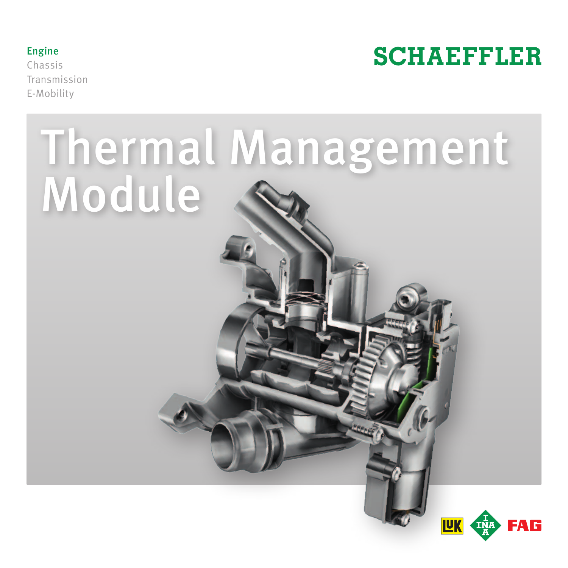

#### Engine

Chassis Transmission E-Mobility